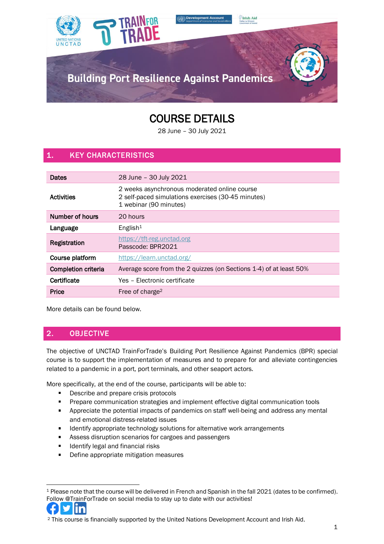

# COURSE DETAILS

28 June – 30 July 2021

# 1. KEY CHARACTERISTICS

| Dates                      | 28 June - 30 July 2021                                                                                                       |  |
|----------------------------|------------------------------------------------------------------------------------------------------------------------------|--|
| Activities                 | 2 weeks asynchronous moderated online course<br>2 self-paced simulations exercises (30-45 minutes)<br>1 webinar (90 minutes) |  |
| Number of hours            | 20 hours                                                                                                                     |  |
| Language                   | English <sup>1</sup>                                                                                                         |  |
| Registration               | https://tft-reg.unctad.org<br>Passcode: BPR2021                                                                              |  |
| Course platform            | https://learn.unctad.org/                                                                                                    |  |
| <b>Completion criteria</b> | Average score from the 2 quizzes (on Sections 1-4) of at least 50%                                                           |  |
| Certificate                | Yes - Electronic certificate                                                                                                 |  |
| Price                      | Free of charge <sup>2</sup>                                                                                                  |  |

More details can be found below.

# 2. OBJECTIVE

The objective of UNCTAD TrainForTrade's Building Port Resilience Against Pandemics (BPR) special course is to support the implementation of measures and to prepare for and alleviate contingencies related to a pandemic in a port, port terminals, and other seaport actors.

More specifically, at the end of the course, participants will be able to:

- Describe and prepare crisis protocols  $\blacksquare$
- $\blacksquare$ Prepare communication strategies and implement effective digital communication tools
- $\mathbf{u}$  . Appreciate the potential impacts of pandemics on staff well-being and address any mental and emotional distress-related issues
- Identify appropriate technology solutions for alternative work arrangements  $\blacksquare$
- $\blacksquare$ Assess disruption scenarios for cargoes and passengers
- $\blacksquare$ Identify legal and financial risks
- $\blacksquare$ Define appropriate mitigation measures

<sup>1</sup> Please note that the course will be delivered in French and Spanish in the fall 2021 (dates to be confirmed). Follow @TrainForTrade on social media to stay up to date with our activities!



<sup>2</sup> This course is financially supported by the United Nations Development Account and Irish Aid.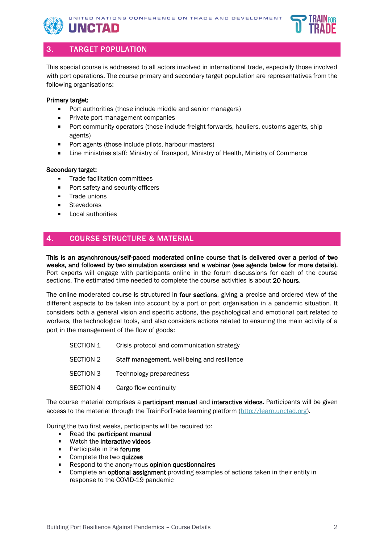



### 3. TARGET POPULATION

UNCTAD

This special course is addressed to all actors involved in international trade, especially those involved with port operations. The course primary and secondary target population are representatives from the following organisations:

#### Primary target:

- Port authorities (those include middle and senior managers)
- Private port management companies
- Port community operators (those include freight forwards, hauliers, customs agents, ship  $\blacksquare$ agents)
- $\blacksquare$ Port agents (those include pilots, harbour masters)
- Line ministries staff: Ministry of Transport, Ministry of Health, Ministry of Commerce  $\blacksquare$

#### Secondary target:

- Trade facilitation committees  $\blacksquare$
- Port safety and security officers  $\blacksquare$
- $\blacksquare$ Trade unions
- Stevedores
- Local authorities

## 4. COURSE STRUCTURE & MATERIAL

This is an asynchronous/self-paced moderated online course that is delivered over a period of two weeks, and followed by two simulation exercises and a webinar (see agenda below for more details). Port experts will engage with participants online in the forum discussions for each of the course sections. The estimated time needed to complete the course activities is about 20 hours.

The online moderated course is structured in four sections, giving a precise and ordered view of the different aspects to be taken into account by a port or port organisation in a pandemic situation. It considers both a general vision and specific actions, the psychological and emotional part related to workers, the technological tools, and also considers actions related to ensuring the main activity of a port in the management of the flow of goods:

| SECTION 1        | Crisis protocol and communication strategy  |  |
|------------------|---------------------------------------------|--|
| SECTION 2        | Staff management, well-being and resilience |  |
| <b>SECTION 3</b> | Technology preparedness                     |  |
| SECTION 4        | Cargo flow continuity                       |  |

The course material comprises a **participant manual** and **interactive videos**. Participants will be given access to the material through the TrainForTrade learning platform [\(http://learn.unctad.org\)](http://learn.unctad.org/).

During the two first weeks, participants will be required to:

- Read the participant manual
- Watch the interactive videos  $\blacksquare$
- Participate in the forums  $\blacksquare$
- Complete the two quizzes
- Respond to the anonymous opinion questionnaires
- $\blacksquare$ Complete an optional assignment providing examples of actions taken in their entity in response to the COVID-19 pandemic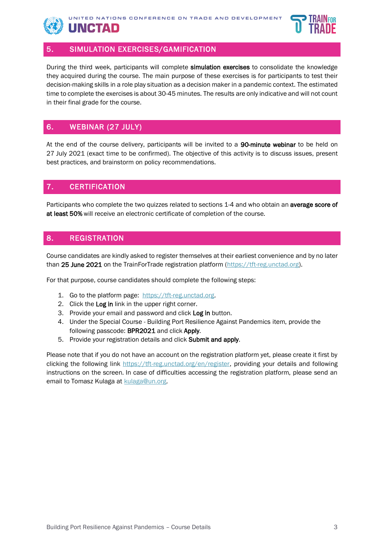

#### 5. SIMULATION EXERCISES/GAMIFICATION

During the third week, participants will complete simulation exercises to consolidate the knowledge they acquired during the course. The main purpose of these exercises is for participants to test their decision-making skills in a role play situation as a decision maker in a pandemic context. The estimated time to complete the exercises is about 30-45 minutes. The results are only indicative and will not count in their final grade for the course.

## 6. WEBINAR (27 JULY)

At the end of the course delivery, participants will be invited to a 90-minute webinar to be held on 27 July 2021 (exact time to be confirmed). The objective of this activity is to discuss issues, present best practices, and brainstorm on policy recommendations.

#### 7. CERTIFICATION

Participants who complete the two quizzes related to sections 1-4 and who obtain an average score of at least 50% will receive an electronic certificate of completion of the course.

#### 8. REGISTRATION

Course candidates are kindly asked to register themselves at their earliest convenience and by no later than 25 June 2021 on the TrainForTrade registration platform [\(https://tft-reg.unctad.org\)](https://tft-reg.unctad.org/).

For that purpose, course candidates should complete the following steps:

- 1. Go to the platform page: [https://tft-reg.unctad.org.](https://tft-reg.unctad.org/)
- 2. Click the Log in link in the upper right corner.
- 3. Provide your email and password and click Log in button.
- 4. Under the Special Course Building Port Resilience Against Pandemics item, provide the following passcode: BPR2021 and click Apply.
- 5. Provide your registration details and click Submit and apply.

Please note that if you do not have an account on the registration platform yet, please create it first by clicking the following link [https://tft-reg.unctad.org/en/register,](https://tft-reg.unctad.org/en/register) providing your details and following instructions on the screen. In case of difficulties accessing the registration platform, please send an email to Tomasz Kulaga at [kulaga@un.org.](mailto:kulaga@un.org)